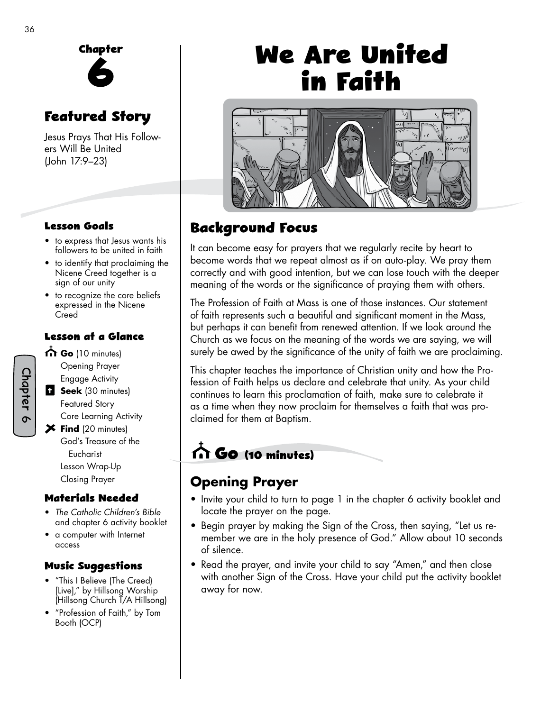

## **Featured Story**

Jesus Prays That His Followers Will Be United (John 17:9–23)

#### **Lesson Goals**

- to express that Jesus wants his followers to be united in faith
- to identify that proclaiming the Nicene Creed together is a sign of our unity
- to recognize the core beliefs expressed in the Nicene **Creed**

#### **Lesson at a Glance**

- Chapter 6
- **Go** (10 minutes) Opening Prayer Engage Activity **Seek** (30 minutes)
- Featured Story Core Learning Activity **Find** (20 minutes)
	- God's Treasure of the Eucharist Lesson Wrap-Up Closing Prayer

#### **Materials Needed**

- *The Catholic Children's Bible*  and chapter 6 activity booklet
- a computer with Internet access

#### **Music Suggestions**

- "This I Believe (The Creed) [Live]," by Hillsong Worship (Hillsong Church T/A Hillsong)
- "Profession of Faith," by Tom Booth (OCP)

# **We Are United in Faith**



## **Background Focus**

It can become easy for prayers that we regularly recite by heart to become words that we repeat almost as if on auto-play. We pray them correctly and with good intention, but we can lose touch with the deeper meaning of the words or the significance of praying them with others.

The Profession of Faith at Mass is one of those instances. Our statement of faith represents such a beautiful and significant moment in the Mass, but perhaps it can benefit from renewed attention. If we look around the Church as we focus on the meaning of the words we are saying, we will surely be awed by the significance of the unity of faith we are proclaiming.

This chapter teaches the importance of Christian unity and how the Profession of Faith helps us declare and celebrate that unity. As your child continues to learn this proclamation of faith, make sure to celebrate it as a time when they now proclaim for themselves a faith that was proclaimed for them at Baptism.

## **Go (10 minutes)**

## **Opening Prayer**

- Invite your child to turn to page 1 in the chapter 6 activity booklet and locate the prayer on the page.
- Begin prayer by making the Sign of the Cross, then saying, "Let us remember we are in the holy presence of God." Allow about 10 seconds of silence.
- Read the prayer, and invite your child to say "Amen," and then close with another Sign of the Cross. Have your child put the activity booklet away for now.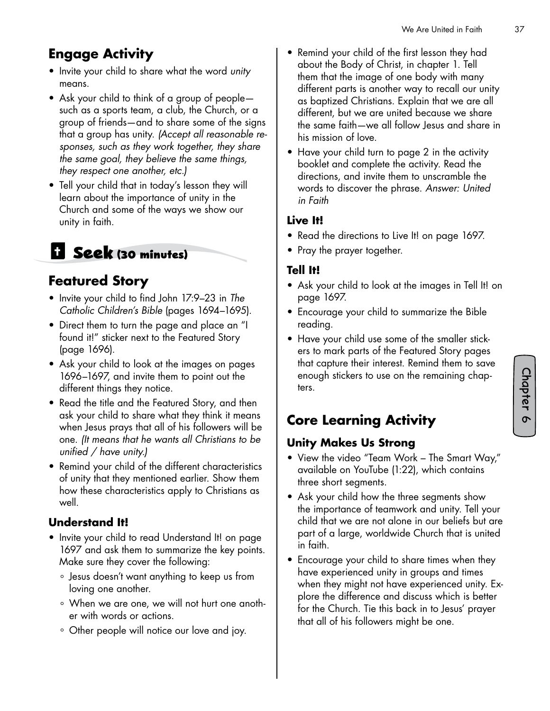## **Engage Activity**

- Invite your child to share what the word *unity* means.
- Ask your child to think of a group of people such as a sports team, a club, the Church, or a group of friends—and to share some of the signs that a group has unity. *(Accept all reasonable responses, such as they work together, they share the same goal, they believe the same things, they respect one another, etc.)*
- Tell your child that in today's lesson they will learn about the importance of unity in the Church and some of the ways we show our unity in faith.

## **Seek (30 minutes)**

## **Featured Story**

- Invite your child to find John 17:9–23 in *The Catholic Children's Bible* (pages 1694–1695).
- Direct them to turn the page and place an "I found it!" sticker next to the Featured Story (page 1696).
- Ask your child to look at the images on pages 1696–1697, and invite them to point out the different things they notice.
- Read the title and the Featured Story, and then ask your child to share what they think it means when Jesus prays that all of his followers will be one. *(It means that he wants all Christians to be unified / have unity.)*
- Remind your child of the different characteristics of unity that they mentioned earlier. Show them how these characteristics apply to Christians as well.

#### **Understand It!**

- Invite your child to read Understand It! on page 1697 and ask them to summarize the key points. Make sure they cover the following:
	- ° Jesus doesn't want anything to keep us from loving one another.
	- ° When we are one, we will not hurt one another with words or actions.
	- ° Other people will notice our love and joy.
- Remind your child of the first lesson they had about the Body of Christ, in chapter 1. Tell them that the image of one body with many different parts is another way to recall our unity as baptized Christians. Explain that we are all different, but we are united because we share the same faith—we all follow Jesus and share in his mission of love.
- Have your child turn to page 2 in the activity booklet and complete the activity. Read the directions, and invite them to unscramble the words to discover the phrase. *Answer: United in Faith*

#### **Live It!**

- Read the directions to Live It! on page 1697.
- Pray the prayer together.

#### **Tell It!**

- Ask your child to look at the images in Tell It! on page 1697.
- Encourage your child to summarize the Bible reading.
- Have your child use some of the smaller stickers to mark parts of the Featured Story pages that capture their interest. Remind them to save enough stickers to use on the remaining chapters.

## **Core Learning Activity**

#### **Unity Makes Us Strong**

- View the video "Team Work The Smart Way," available on YouTube (1:22), which contains three short segments.
- Ask your child how the three segments show the importance of teamwork and unity. Tell your child that we are not alone in our beliefs but are part of a large, worldwide Church that is united in faith.
- Encourage your child to share times when they have experienced unity in groups and times when they might not have experienced unity. Explore the difference and discuss which is better for the Church. Tie this back in to Jesus' prayer that all of his followers might be one.